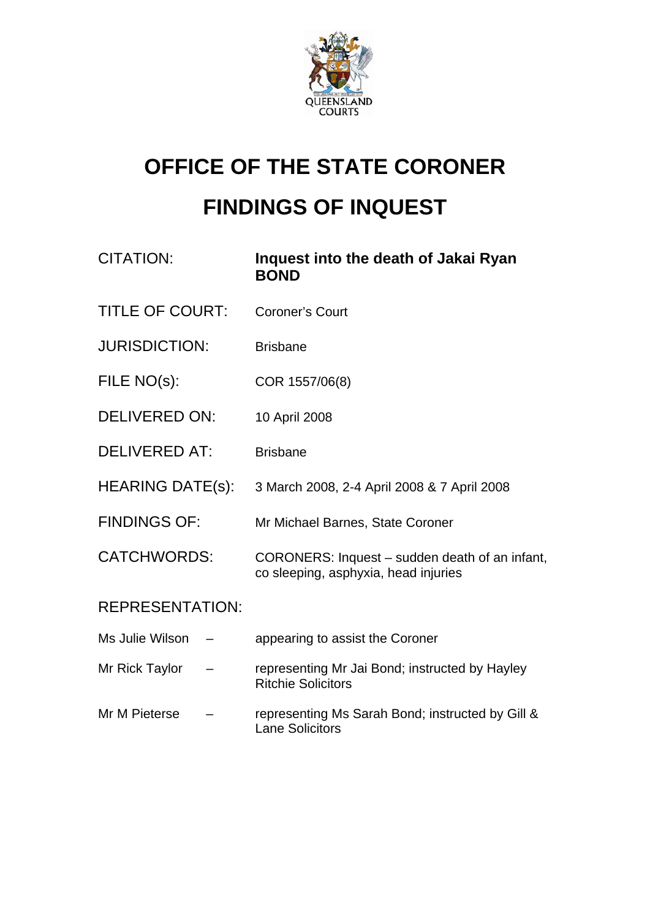

# **OFFICE OF THE STATE CORONER FINDINGS OF INQUEST**

| <b>CITATION:</b>       | Inquest into the death of Jakai Ryan<br><b>BOND</b>                                    |  |
|------------------------|----------------------------------------------------------------------------------------|--|
| <b>TITLE OF COURT:</b> | <b>Coroner's Court</b>                                                                 |  |
| <b>JURISDICTION:</b>   | <b>Brisbane</b>                                                                        |  |
| FILE NO(s):            | COR 1557/06(8)                                                                         |  |
| <b>DELIVERED ON:</b>   | 10 April 2008                                                                          |  |
| <b>DELIVERED AT:</b>   | <b>Brisbane</b>                                                                        |  |
| HEARING DATE(s):       | 3 March 2008, 2-4 April 2008 & 7 April 2008                                            |  |
| <b>FINDINGS OF:</b>    | Mr Michael Barnes, State Coroner                                                       |  |
| <b>CATCHWORDS:</b>     | CORONERS: Inquest – sudden death of an infant,<br>co sleeping, asphyxia, head injuries |  |
| <b>REPRESENTATION:</b> |                                                                                        |  |
| Ms Julie Wilson        | appearing to assist the Coroner                                                        |  |
| Mr Rick Taylor         | representing Mr Jai Bond; instructed by Hayley<br><b>Ritchie Solicitors</b>            |  |
| Mr M Pieterse          | representing Ms Sarah Bond; instructed by Gill &<br><b>Lane Solicitors</b>             |  |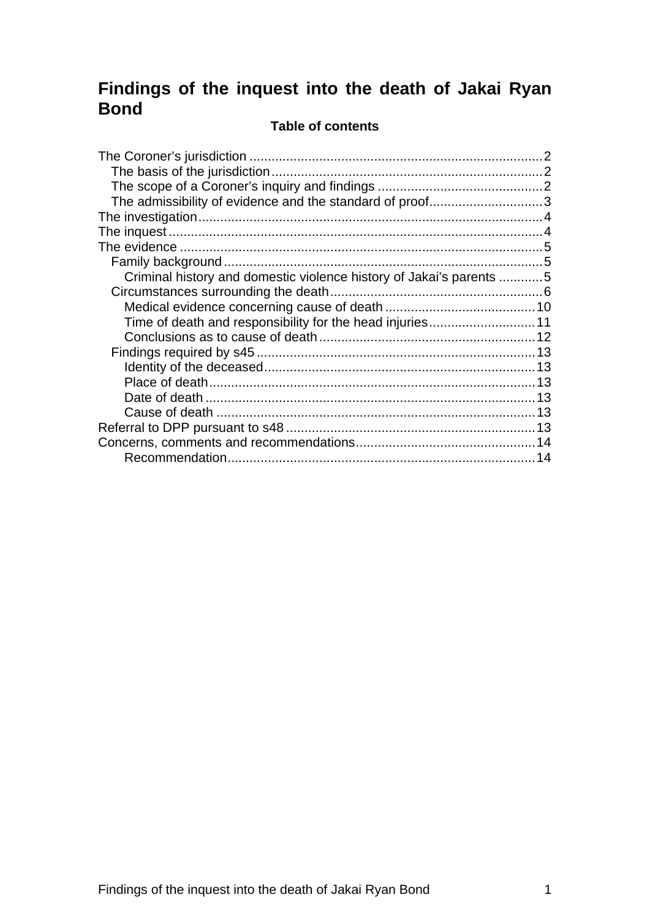# **Findings of the inquest into the death of Jakai Ryan Bond**

#### **Table of contents**

| The admissibility of evidence and the standard of proof3            |  |
|---------------------------------------------------------------------|--|
|                                                                     |  |
|                                                                     |  |
|                                                                     |  |
|                                                                     |  |
| Criminal history and domestic violence history of Jakai's parents 5 |  |
|                                                                     |  |
|                                                                     |  |
| Time of death and responsibility for the head injuries11            |  |
|                                                                     |  |
|                                                                     |  |
|                                                                     |  |
|                                                                     |  |
|                                                                     |  |
|                                                                     |  |
|                                                                     |  |
|                                                                     |  |
|                                                                     |  |
|                                                                     |  |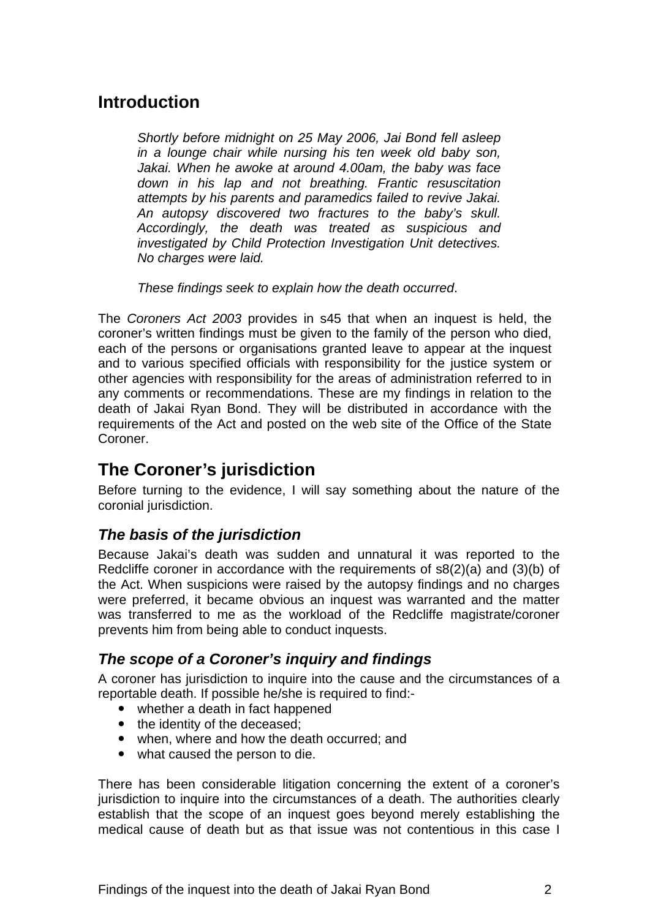# <span id="page-2-0"></span>**Introduction**

*Shortly before midnight on 25 May 2006, Jai Bond fell asleep in a lounge chair while nursing his ten week old baby son, Jakai. When he awoke at around 4.00am, the baby was face down in his lap and not breathing. Frantic resuscitation attempts by his parents and paramedics failed to revive Jakai. An autopsy discovered two fractures to the baby's skull. Accordingly, the death was treated as suspicious and investigated by Child Protection Investigation Unit detectives. No charges were laid.* 

*These findings seek to explain how the death occurred*.

The *Coroners Act 2003* provides in s45 that when an inquest is held, the coroner's written findings must be given to the family of the person who died, each of the persons or organisations granted leave to appear at the inquest and to various specified officials with responsibility for the justice system or other agencies with responsibility for the areas of administration referred to in any comments or recommendations. These are my findings in relation to the death of Jakai Ryan Bond. They will be distributed in accordance with the requirements of the Act and posted on the web site of the Office of the State Coroner.

# **The Coroner's jurisdiction**

Before turning to the evidence, I will say something about the nature of the coronial jurisdiction.

## *The basis of the jurisdiction*

Because Jakai's death was sudden and unnatural it was reported to the Redcliffe coroner in accordance with the requirements of s8(2)(a) and (3)(b) of the Act. When suspicions were raised by the autopsy findings and no charges were preferred, it became obvious an inquest was warranted and the matter was transferred to me as the workload of the Redcliffe magistrate/coroner prevents him from being able to conduct inquests.

## *The scope of a Coroner's inquiry and findings*

A coroner has jurisdiction to inquire into the cause and the circumstances of a reportable death. If possible he/she is required to find:-

- $\bullet$  whether a death in fact happened
- the identity of the deceased;
- when, where and how the death occurred; and
- what caused the person to die.

There has been considerable litigation concerning the extent of a coroner's jurisdiction to inquire into the circumstances of a death. The authorities clearly establish that the scope of an inquest goes beyond merely establishing the medical cause of death but as that issue was not contentious in this case I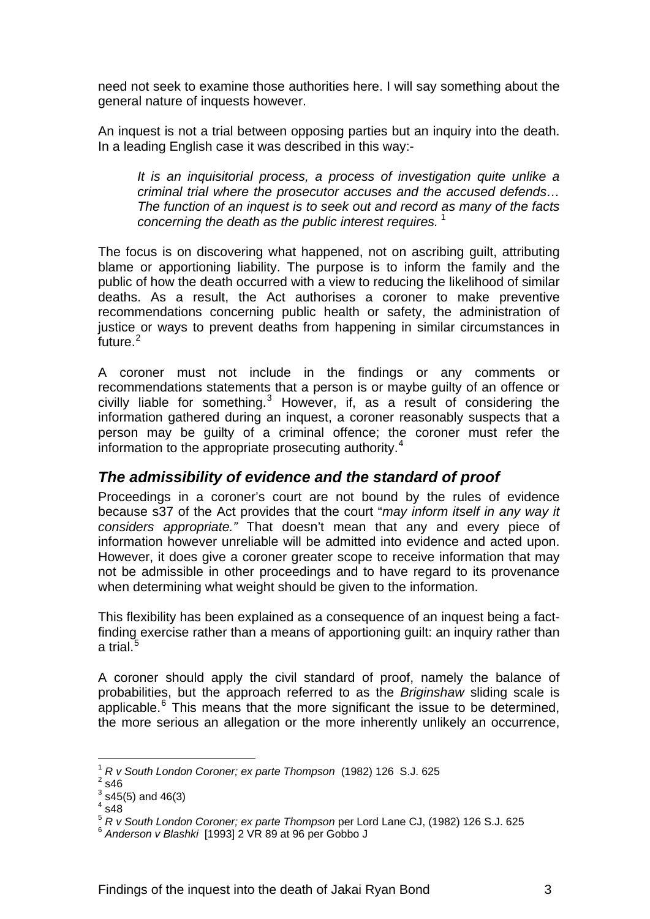<span id="page-3-0"></span>need not seek to examine those authorities here. I will say something about the general nature of inquests however.

An inquest is not a trial between opposing parties but an inquiry into the death. In a leading English case it was described in this way:-

*It is an inquisitorial process, a process of investigation quite unlike a criminal trial where the prosecutor accuses and the accused defends… The function of an inquest is to seek out and record as many of the facts concerning the death as the public interest requires.* [1](#page-3-1)

The focus is on discovering what happened, not on ascribing guilt, attributing blame or apportioning liability. The purpose is to inform the family and the public of how the death occurred with a view to reducing the likelihood of similar deaths. As a result, the Act authorises a coroner to make preventive recommendations concerning public health or safety, the administration of justice or ways to prevent deaths from happening in similar circumstances in future.<sup>[2](#page-3-2)</sup>

A coroner must not include in the findings or any comments or recommendations statements that a person is or maybe guilty of an offence or civilly liable for something. $3$  However, if, as a result of considering the information gathered during an inquest, a coroner reasonably suspects that a person may be guilty of a criminal offence; the coroner must refer the information to the appropriate prosecuting authority.<sup>[4](#page-3-4)</sup>

## *The admissibility of evidence and the standard of proof*

Proceedings in a coroner's court are not bound by the rules of evidence because s37 of the Act provides that the court "*may inform itself in any way it considers appropriate."* That doesn't mean that any and every piece of information however unreliable will be admitted into evidence and acted upon. However, it does give a coroner greater scope to receive information that may not be admissible in other proceedings and to have regard to its provenance when determining what weight should be given to the information.

This flexibility has been explained as a consequence of an inquest being a factfinding exercise rather than a means of apportioning guilt: an inquiry rather than a trial. $^5\,$  $^5\,$  $^5\,$ 

A coroner should apply the civil standard of proof, namely the balance of probabilities, but the approach referred to as the *Briginshaw* sliding scale is applicable. $6$  This means that the more significant the issue to be determined, the more serious an allegation or the more inherently unlikely an occurrence,

 <sup>1</sup> *R v South London Coroner; ex parte Thompson* (1982) 126 S.J. 625 2

<span id="page-3-3"></span><span id="page-3-2"></span><span id="page-3-1"></span> $2$  s46

 $3$  s45(5) and 46(3)

 $4$  s48

<span id="page-3-6"></span><span id="page-3-5"></span><span id="page-3-4"></span><sup>&</sup>lt;sup>5</sup> *R v South London Coroner; ex parte Thompson* per Lord Lane CJ, (1982) 126 S.J. 625<br><sup>6</sup> Anderson v Blashki [1993] 2 VR 89 at 96 per Gobbo J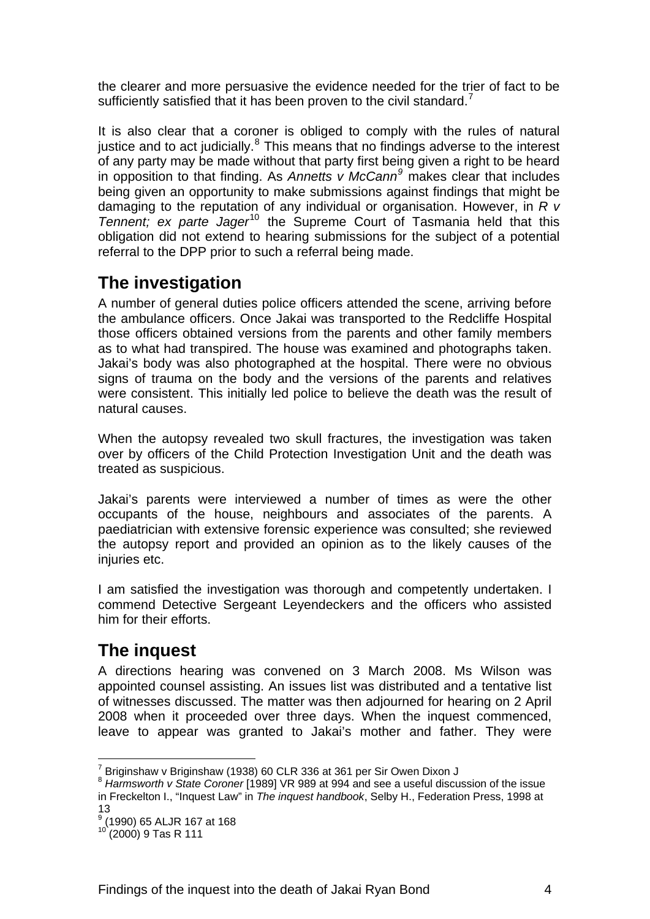<span id="page-4-0"></span>the clearer and more persuasive the evidence needed for the trier of fact to be sufficiently satisfied that it has been proven to the civil standard.<sup>[7](#page-4-1)</sup>

It is also clear that a coroner is obliged to comply with the rules of natural justice and to act judicially. $8$  This means that no findings adverse to the interest of any party may be made without that party first being given a right to be heard in opposition to that finding. As *Annetts v McCann[9](#page-4-3)* makes clear that includes being given an opportunity to make submissions against findings that might be damaging to the reputation of any individual or organisation. However, in *R v Tennent; ex parte Jager*[10](#page-4-4) the Supreme Court of Tasmania held that this obligation did not extend to hearing submissions for the subject of a potential referral to the DPP prior to such a referral being made.

# **The investigation**

A number of general duties police officers attended the scene, arriving before the ambulance officers. Once Jakai was transported to the Redcliffe Hospital those officers obtained versions from the parents and other family members as to what had transpired. The house was examined and photographs taken. Jakai's body was also photographed at the hospital. There were no obvious signs of trauma on the body and the versions of the parents and relatives were consistent. This initially led police to believe the death was the result of natural causes.

When the autopsy revealed two skull fractures, the investigation was taken over by officers of the Child Protection Investigation Unit and the death was treated as suspicious.

Jakai's parents were interviewed a number of times as were the other occupants of the house, neighbours and associates of the parents. A paediatrician with extensive forensic experience was consulted; she reviewed the autopsy report and provided an opinion as to the likely causes of the injuries etc.

I am satisfied the investigation was thorough and competently undertaken. I commend Detective Sergeant Leyendeckers and the officers who assisted him for their efforts.

# **The inquest**

A directions hearing was convened on 3 March 2008. Ms Wilson was appointed counsel assisting. An issues list was distributed and a tentative list of witnesses discussed. The matter was then adjourned for hearing on 2 April 2008 when it proceeded over three days. When the inquest commenced, leave to appear was granted to Jakai's mother and father. They were

 <sup>7</sup> Briginshaw v Briginshaw (1938) 60 CLR 336 at 361 per Sir Owen Dixon J

<span id="page-4-2"></span><span id="page-4-1"></span><sup>8</sup> *Harmsworth v State Coroner* [1989] VR 989 at 994 and see a useful discussion of the issue in Freckelton I., "Inquest Law" in *The inquest handbook*, Selby H., Federation Press, 1998 at 13

<span id="page-4-3"></span><sup>9</sup> (1990) 65 ALJR 167 at 168

<span id="page-4-4"></span><sup>10 (2000) 9</sup> Tas R 111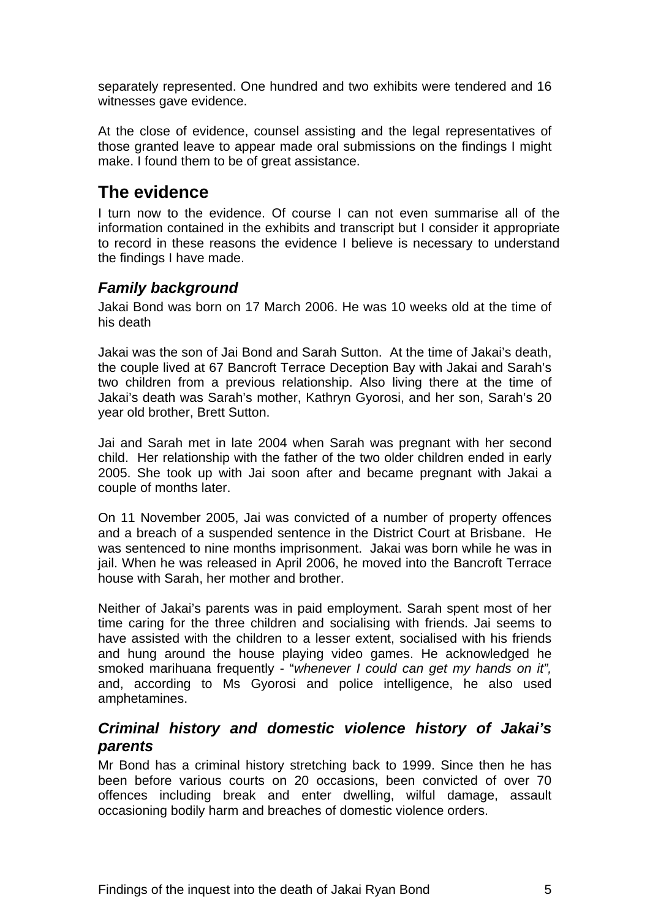<span id="page-5-0"></span>separately represented. One hundred and two exhibits were tendered and 16 witnesses gave evidence.

At the close of evidence, counsel assisting and the legal representatives of those granted leave to appear made oral submissions on the findings I might make. I found them to be of great assistance.

# **The evidence**

I turn now to the evidence. Of course I can not even summarise all of the information contained in the exhibits and transcript but I consider it appropriate to record in these reasons the evidence I believe is necessary to understand the findings I have made.

## *Family background*

Jakai Bond was born on 17 March 2006. He was 10 weeks old at the time of his death

Jakai was the son of Jai Bond and Sarah Sutton. At the time of Jakai's death, the couple lived at 67 Bancroft Terrace Deception Bay with Jakai and Sarah's two children from a previous relationship. Also living there at the time of Jakai's death was Sarah's mother, Kathryn Gyorosi, and her son, Sarah's 20 year old brother, Brett Sutton.

Jai and Sarah met in late 2004 when Sarah was pregnant with her second child. Her relationship with the father of the two older children ended in early 2005. She took up with Jai soon after and became pregnant with Jakai a couple of months later.

On 11 November 2005, Jai was convicted of a number of property offences and a breach of a suspended sentence in the District Court at Brisbane. He was sentenced to nine months imprisonment. Jakai was born while he was in jail. When he was released in April 2006, he moved into the Bancroft Terrace house with Sarah, her mother and brother.

Neither of Jakai's parents was in paid employment. Sarah spent most of her time caring for the three children and socialising with friends. Jai seems to have assisted with the children to a lesser extent, socialised with his friends and hung around the house playing video games. He acknowledged he smoked marihuana frequently - "*whenever I could can get my hands on it",* and, according to Ms Gyorosi and police intelligence, he also used amphetamines.

## *Criminal history and domestic violence history of Jakai's parents*

Mr Bond has a criminal history stretching back to 1999. Since then he has been before various courts on 20 occasions, been convicted of over 70 offences including break and enter dwelling, wilful damage, assault occasioning bodily harm and breaches of domestic violence orders.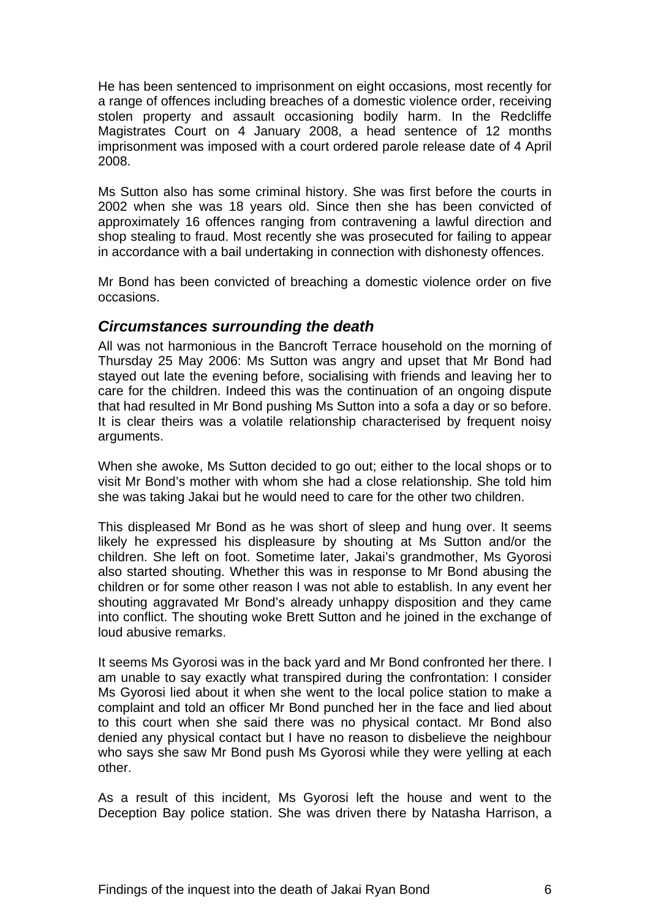<span id="page-6-0"></span>He has been sentenced to imprisonment on eight occasions, most recently for a range of offences including breaches of a domestic violence order, receiving stolen property and assault occasioning bodily harm. In the Redcliffe Magistrates Court on 4 January 2008, a head sentence of 12 months imprisonment was imposed with a court ordered parole release date of 4 April 2008.

Ms Sutton also has some criminal history. She was first before the courts in 2002 when she was 18 years old. Since then she has been convicted of approximately 16 offences ranging from contravening a lawful direction and shop stealing to fraud. Most recently she was prosecuted for failing to appear in accordance with a bail undertaking in connection with dishonesty offences.

Mr Bond has been convicted of breaching a domestic violence order on five occasions.

#### *Circumstances surrounding the death*

All was not harmonious in the Bancroft Terrace household on the morning of Thursday 25 May 2006: Ms Sutton was angry and upset that Mr Bond had stayed out late the evening before, socialising with friends and leaving her to care for the children. Indeed this was the continuation of an ongoing dispute that had resulted in Mr Bond pushing Ms Sutton into a sofa a day or so before. It is clear theirs was a volatile relationship characterised by frequent noisy arguments.

When she awoke, Ms Sutton decided to go out; either to the local shops or to visit Mr Bond's mother with whom she had a close relationship. She told him she was taking Jakai but he would need to care for the other two children.

This displeased Mr Bond as he was short of sleep and hung over. It seems likely he expressed his displeasure by shouting at Ms Sutton and/or the children. She left on foot. Sometime later, Jakai's grandmother, Ms Gyorosi also started shouting. Whether this was in response to Mr Bond abusing the children or for some other reason I was not able to establish. In any event her shouting aggravated Mr Bond's already unhappy disposition and they came into conflict. The shouting woke Brett Sutton and he joined in the exchange of loud abusive remarks.

It seems Ms Gyorosi was in the back yard and Mr Bond confronted her there. I am unable to say exactly what transpired during the confrontation: I consider Ms Gyorosi lied about it when she went to the local police station to make a complaint and told an officer Mr Bond punched her in the face and lied about to this court when she said there was no physical contact. Mr Bond also denied any physical contact but I have no reason to disbelieve the neighbour who says she saw Mr Bond push Ms Gyorosi while they were yelling at each other.

As a result of this incident, Ms Gyorosi left the house and went to the Deception Bay police station. She was driven there by Natasha Harrison, a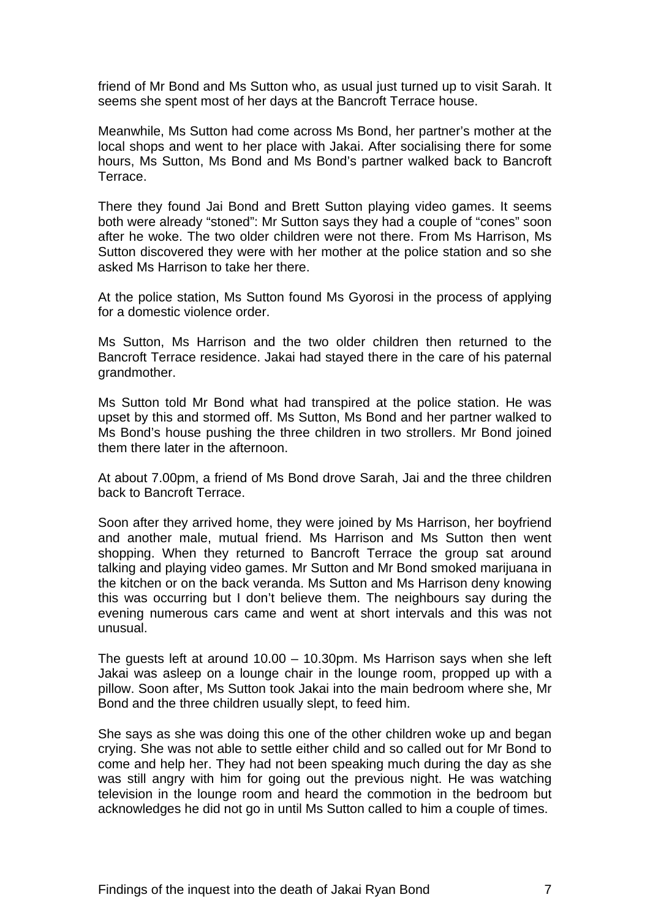friend of Mr Bond and Ms Sutton who, as usual just turned up to visit Sarah. It seems she spent most of her days at the Bancroft Terrace house.

Meanwhile, Ms Sutton had come across Ms Bond, her partner's mother at the local shops and went to her place with Jakai. After socialising there for some hours, Ms Sutton, Ms Bond and Ms Bond's partner walked back to Bancroft Terrace.

There they found Jai Bond and Brett Sutton playing video games. It seems both were already "stoned": Mr Sutton says they had a couple of "cones" soon after he woke. The two older children were not there. From Ms Harrison, Ms Sutton discovered they were with her mother at the police station and so she asked Ms Harrison to take her there.

At the police station, Ms Sutton found Ms Gyorosi in the process of applying for a domestic violence order.

Ms Sutton, Ms Harrison and the two older children then returned to the Bancroft Terrace residence. Jakai had stayed there in the care of his paternal grandmother.

Ms Sutton told Mr Bond what had transpired at the police station. He was upset by this and stormed off. Ms Sutton, Ms Bond and her partner walked to Ms Bond's house pushing the three children in two strollers. Mr Bond joined them there later in the afternoon.

At about 7.00pm, a friend of Ms Bond drove Sarah, Jai and the three children back to Bancroft Terrace.

Soon after they arrived home, they were joined by Ms Harrison, her boyfriend and another male, mutual friend. Ms Harrison and Ms Sutton then went shopping. When they returned to Bancroft Terrace the group sat around talking and playing video games. Mr Sutton and Mr Bond smoked marijuana in the kitchen or on the back veranda. Ms Sutton and Ms Harrison deny knowing this was occurring but I don't believe them. The neighbours say during the evening numerous cars came and went at short intervals and this was not unusual.

The guests left at around 10.00 – 10.30pm. Ms Harrison says when she left Jakai was asleep on a lounge chair in the lounge room, propped up with a pillow. Soon after, Ms Sutton took Jakai into the main bedroom where she, Mr Bond and the three children usually slept, to feed him.

She says as she was doing this one of the other children woke up and began crying. She was not able to settle either child and so called out for Mr Bond to come and help her. They had not been speaking much during the day as she was still angry with him for going out the previous night. He was watching television in the lounge room and heard the commotion in the bedroom but acknowledges he did not go in until Ms Sutton called to him a couple of times.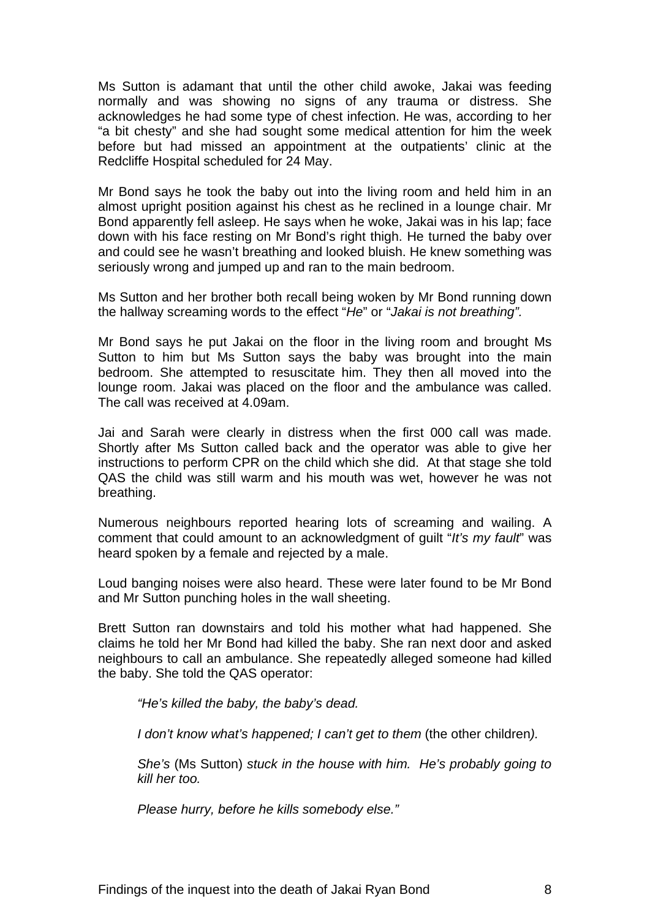Ms Sutton is adamant that until the other child awoke, Jakai was feeding normally and was showing no signs of any trauma or distress. She acknowledges he had some type of chest infection. He was, according to her "a bit chesty" and she had sought some medical attention for him the week before but had missed an appointment at the outpatients' clinic at the Redcliffe Hospital scheduled for 24 May.

Mr Bond says he took the baby out into the living room and held him in an almost upright position against his chest as he reclined in a lounge chair. Mr Bond apparently fell asleep. He says when he woke, Jakai was in his lap; face down with his face resting on Mr Bond's right thigh. He turned the baby over and could see he wasn't breathing and looked bluish. He knew something was seriously wrong and jumped up and ran to the main bedroom.

Ms Sutton and her brother both recall being woken by Mr Bond running down the hallway screaming words to the effect "*He*" or "*Jakai is not breathing".*

Mr Bond says he put Jakai on the floor in the living room and brought Ms Sutton to him but Ms Sutton says the baby was brought into the main bedroom. She attempted to resuscitate him. They then all moved into the lounge room. Jakai was placed on the floor and the ambulance was called. The call was received at 4.09am.

Jai and Sarah were clearly in distress when the first 000 call was made. Shortly after Ms Sutton called back and the operator was able to give her instructions to perform CPR on the child which she did. At that stage she told QAS the child was still warm and his mouth was wet, however he was not breathing.

Numerous neighbours reported hearing lots of screaming and wailing. A comment that could amount to an acknowledgment of guilt "*It's my fault*" was heard spoken by a female and rejected by a male.

Loud banging noises were also heard. These were later found to be Mr Bond and Mr Sutton punching holes in the wall sheeting.

Brett Sutton ran downstairs and told his mother what had happened. She claims he told her Mr Bond had killed the baby. She ran next door and asked neighbours to call an ambulance. She repeatedly alleged someone had killed the baby. She told the QAS operator:

*"He's killed the baby, the baby's dead.* 

*I* don't know what's happened; I can't get to them (the other children).

*She's* (Ms Sutton) *stuck in the house with him. He's probably going to kill her too.* 

*Please hurry, before he kills somebody else."*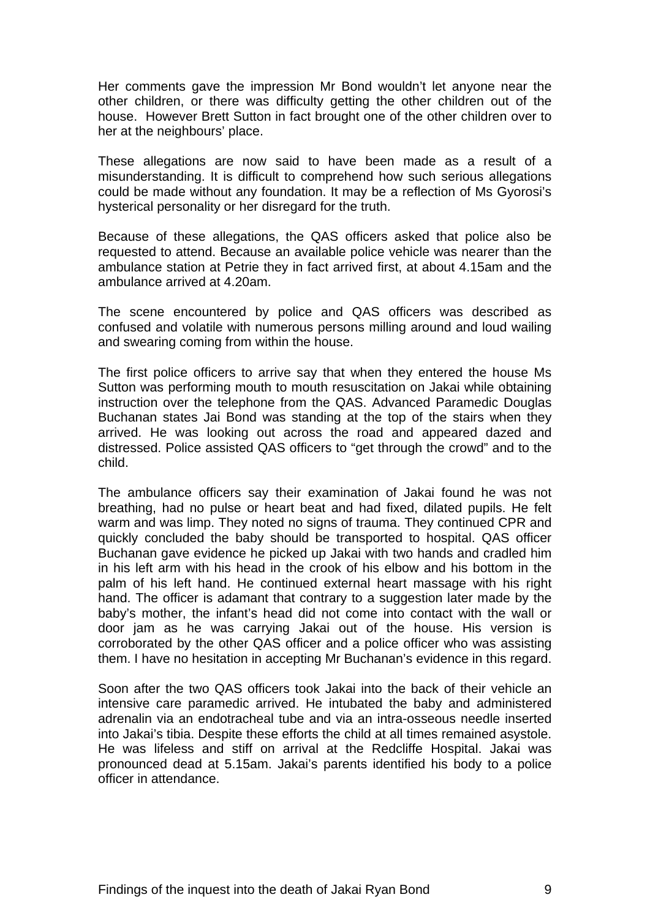Her comments gave the impression Mr Bond wouldn't let anyone near the other children, or there was difficulty getting the other children out of the house. However Brett Sutton in fact brought one of the other children over to her at the neighbours' place.

These allegations are now said to have been made as a result of a misunderstanding. It is difficult to comprehend how such serious allegations could be made without any foundation. It may be a reflection of Ms Gyorosi's hysterical personality or her disregard for the truth.

Because of these allegations, the QAS officers asked that police also be requested to attend. Because an available police vehicle was nearer than the ambulance station at Petrie they in fact arrived first, at about 4.15am and the ambulance arrived at 4.20am.

The scene encountered by police and QAS officers was described as confused and volatile with numerous persons milling around and loud wailing and swearing coming from within the house.

The first police officers to arrive say that when they entered the house Ms Sutton was performing mouth to mouth resuscitation on Jakai while obtaining instruction over the telephone from the QAS. Advanced Paramedic Douglas Buchanan states Jai Bond was standing at the top of the stairs when they arrived. He was looking out across the road and appeared dazed and distressed. Police assisted QAS officers to "get through the crowd" and to the child.

The ambulance officers say their examination of Jakai found he was not breathing, had no pulse or heart beat and had fixed, dilated pupils. He felt warm and was limp. They noted no signs of trauma. They continued CPR and quickly concluded the baby should be transported to hospital. QAS officer Buchanan gave evidence he picked up Jakai with two hands and cradled him in his left arm with his head in the crook of his elbow and his bottom in the palm of his left hand. He continued external heart massage with his right hand. The officer is adamant that contrary to a suggestion later made by the baby's mother, the infant's head did not come into contact with the wall or door jam as he was carrying Jakai out of the house. His version is corroborated by the other QAS officer and a police officer who was assisting them. I have no hesitation in accepting Mr Buchanan's evidence in this regard.

Soon after the two QAS officers took Jakai into the back of their vehicle an intensive care paramedic arrived. He intubated the baby and administered adrenalin via an endotracheal tube and via an intra-osseous needle inserted into Jakai's tibia. Despite these efforts the child at all times remained asystole. He was lifeless and stiff on arrival at the Redcliffe Hospital. Jakai was pronounced dead at 5.15am. Jakai's parents identified his body to a police officer in attendance.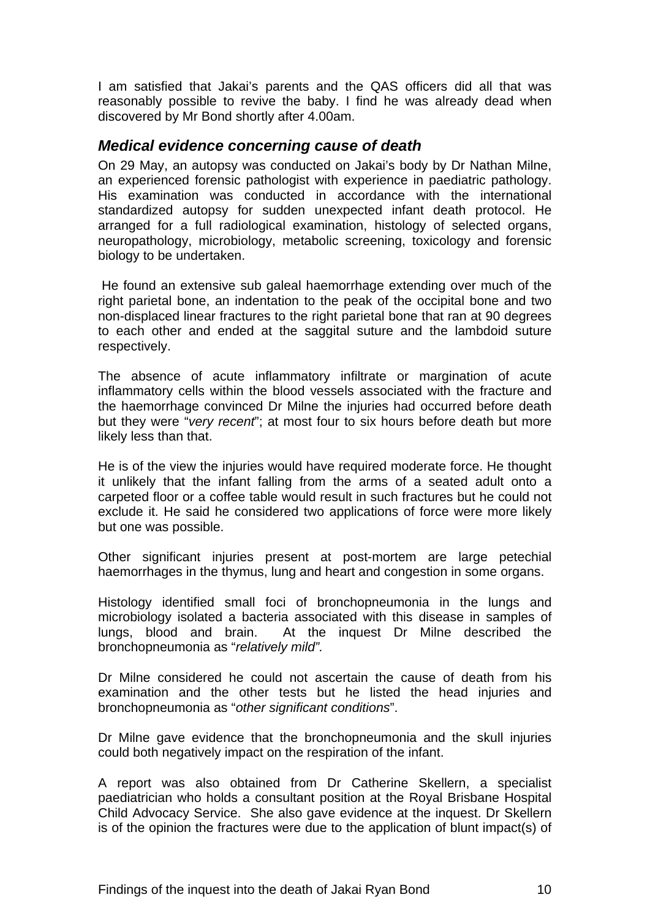<span id="page-10-0"></span>I am satisfied that Jakai's parents and the QAS officers did all that was reasonably possible to revive the baby. I find he was already dead when discovered by Mr Bond shortly after 4.00am.

#### *Medical evidence concerning cause of death*

On 29 May, an autopsy was conducted on Jakai's body by Dr Nathan Milne, an experienced forensic pathologist with experience in paediatric pathology. His examination was conducted in accordance with the international standardized autopsy for sudden unexpected infant death protocol. He arranged for a full radiological examination, histology of selected organs, neuropathology, microbiology, metabolic screening, toxicology and forensic biology to be undertaken.

 He found an extensive sub galeal haemorrhage extending over much of the right parietal bone, an indentation to the peak of the occipital bone and two non-displaced linear fractures to the right parietal bone that ran at 90 degrees to each other and ended at the saggital suture and the lambdoid suture respectively.

The absence of acute inflammatory infiltrate or margination of acute inflammatory cells within the blood vessels associated with the fracture and the haemorrhage convinced Dr Milne the injuries had occurred before death but they were "*very recent*"; at most four to six hours before death but more likely less than that.

He is of the view the injuries would have required moderate force. He thought it unlikely that the infant falling from the arms of a seated adult onto a carpeted floor or a coffee table would result in such fractures but he could not exclude it. He said he considered two applications of force were more likely but one was possible.

Other significant injuries present at post-mortem are large petechial haemorrhages in the thymus, lung and heart and congestion in some organs.

Histology identified small foci of bronchopneumonia in the lungs and microbiology isolated a bacteria associated with this disease in samples of lungs, blood and brain. At the inquest Dr Milne described the bronchopneumonia as "*relatively mild".*

Dr Milne considered he could not ascertain the cause of death from his examination and the other tests but he listed the head injuries and bronchopneumonia as "*other significant conditions*".

Dr Milne gave evidence that the bronchopneumonia and the skull injuries could both negatively impact on the respiration of the infant.

A report was also obtained from Dr Catherine Skellern, a specialist paediatrician who holds a consultant position at the Royal Brisbane Hospital Child Advocacy Service. She also gave evidence at the inquest. Dr Skellern is of the opinion the fractures were due to the application of blunt impact(s) of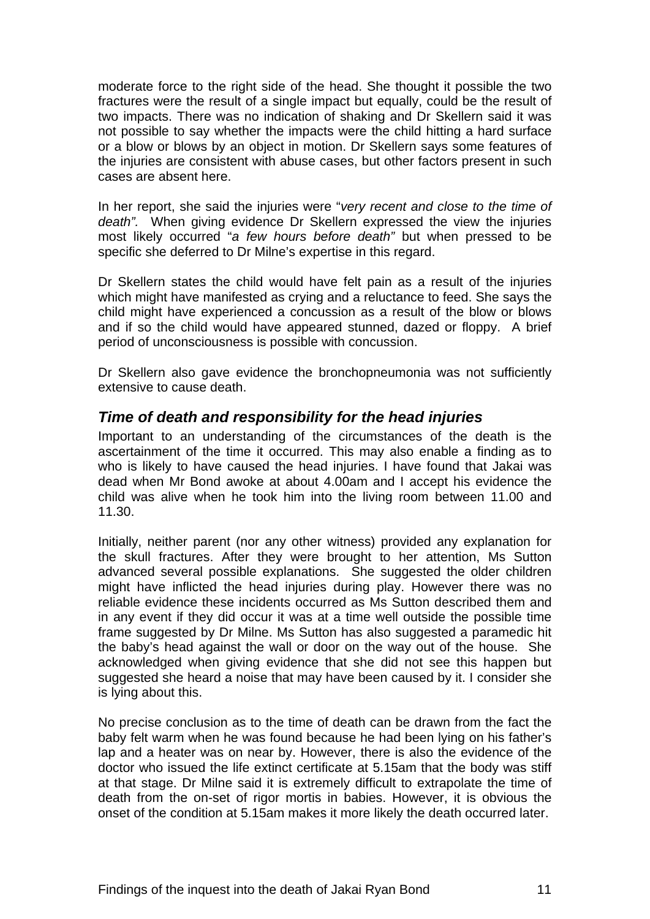<span id="page-11-0"></span>moderate force to the right side of the head. She thought it possible the two fractures were the result of a single impact but equally, could be the result of two impacts. There was no indication of shaking and Dr Skellern said it was not possible to say whether the impacts were the child hitting a hard surface or a blow or blows by an object in motion. Dr Skellern says some features of the injuries are consistent with abuse cases, but other factors present in such cases are absent here.

In her report, she said the injuries were "*very recent and close to the time of death".* When giving evidence Dr Skellern expressed the view the injuries most likely occurred "*a few hours before death"* but when pressed to be specific she deferred to Dr Milne's expertise in this regard.

Dr Skellern states the child would have felt pain as a result of the injuries which might have manifested as crying and a reluctance to feed. She says the child might have experienced a concussion as a result of the blow or blows and if so the child would have appeared stunned, dazed or floppy. A brief period of unconsciousness is possible with concussion.

Dr Skellern also gave evidence the bronchopneumonia was not sufficiently extensive to cause death.

## *Time of death and responsibility for the head injuries*

Important to an understanding of the circumstances of the death is the ascertainment of the time it occurred. This may also enable a finding as to who is likely to have caused the head injuries. I have found that Jakai was dead when Mr Bond awoke at about 4.00am and I accept his evidence the child was alive when he took him into the living room between 11.00 and 11.30.

Initially, neither parent (nor any other witness) provided any explanation for the skull fractures. After they were brought to her attention, Ms Sutton advanced several possible explanations. She suggested the older children might have inflicted the head injuries during play. However there was no reliable evidence these incidents occurred as Ms Sutton described them and in any event if they did occur it was at a time well outside the possible time frame suggested by Dr Milne. Ms Sutton has also suggested a paramedic hit the baby's head against the wall or door on the way out of the house. She acknowledged when giving evidence that she did not see this happen but suggested she heard a noise that may have been caused by it. I consider she is lying about this.

No precise conclusion as to the time of death can be drawn from the fact the baby felt warm when he was found because he had been lying on his father's lap and a heater was on near by. However, there is also the evidence of the doctor who issued the life extinct certificate at 5.15am that the body was stiff at that stage. Dr Milne said it is extremely difficult to extrapolate the time of death from the on-set of rigor mortis in babies. However, it is obvious the onset of the condition at 5.15am makes it more likely the death occurred later.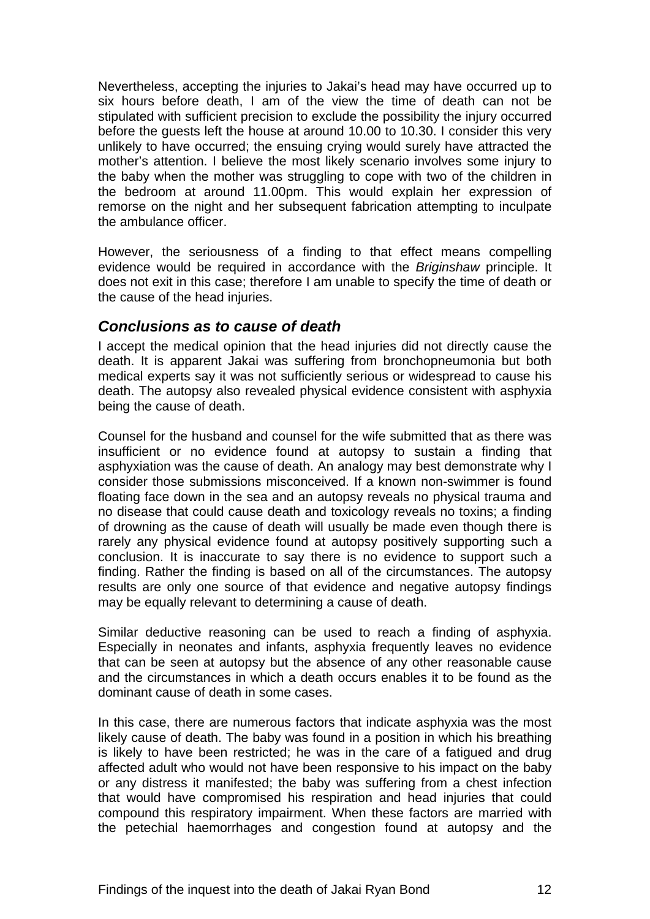<span id="page-12-0"></span>Nevertheless, accepting the injuries to Jakai's head may have occurred up to six hours before death, I am of the view the time of death can not be stipulated with sufficient precision to exclude the possibility the injury occurred before the guests left the house at around 10.00 to 10.30. I consider this very unlikely to have occurred; the ensuing crying would surely have attracted the mother's attention. I believe the most likely scenario involves some injury to the baby when the mother was struggling to cope with two of the children in the bedroom at around 11.00pm. This would explain her expression of remorse on the night and her subsequent fabrication attempting to inculpate the ambulance officer.

However, the seriousness of a finding to that effect means compelling evidence would be required in accordance with the *Briginshaw* principle. It does not exit in this case; therefore I am unable to specify the time of death or the cause of the head injuries.

#### *Conclusions as to cause of death*

I accept the medical opinion that the head injuries did not directly cause the death. It is apparent Jakai was suffering from bronchopneumonia but both medical experts say it was not sufficiently serious or widespread to cause his death. The autopsy also revealed physical evidence consistent with asphyxia being the cause of death.

Counsel for the husband and counsel for the wife submitted that as there was insufficient or no evidence found at autopsy to sustain a finding that asphyxiation was the cause of death. An analogy may best demonstrate why I consider those submissions misconceived. If a known non-swimmer is found floating face down in the sea and an autopsy reveals no physical trauma and no disease that could cause death and toxicology reveals no toxins; a finding of drowning as the cause of death will usually be made even though there is rarely any physical evidence found at autopsy positively supporting such a conclusion. It is inaccurate to say there is no evidence to support such a finding. Rather the finding is based on all of the circumstances. The autopsy results are only one source of that evidence and negative autopsy findings may be equally relevant to determining a cause of death.

Similar deductive reasoning can be used to reach a finding of asphyxia. Especially in neonates and infants, asphyxia frequently leaves no evidence that can be seen at autopsy but the absence of any other reasonable cause and the circumstances in which a death occurs enables it to be found as the dominant cause of death in some cases.

In this case, there are numerous factors that indicate asphyxia was the most likely cause of death. The baby was found in a position in which his breathing is likely to have been restricted; he was in the care of a fatigued and drug affected adult who would not have been responsive to his impact on the baby or any distress it manifested; the baby was suffering from a chest infection that would have compromised his respiration and head injuries that could compound this respiratory impairment. When these factors are married with the petechial haemorrhages and congestion found at autopsy and the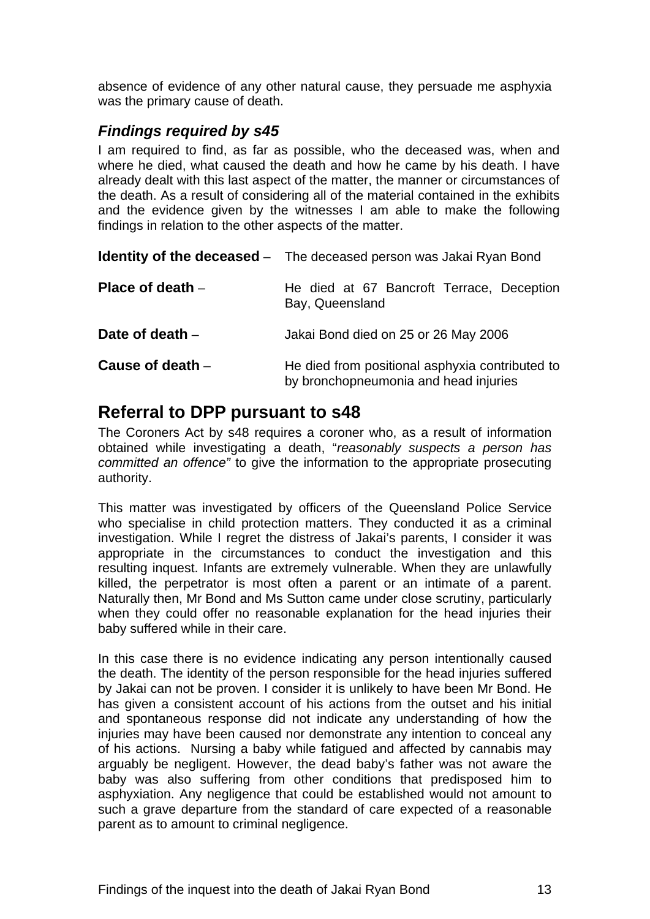<span id="page-13-0"></span>absence of evidence of any other natural cause, they persuade me asphyxia was the primary cause of death.

## *Findings required by s45*

I am required to find, as far as possible, who the deceased was, when and where he died, what caused the death and how he came by his death. I have already dealt with this last aspect of the matter, the manner or circumstances of the death. As a result of considering all of the material contained in the exhibits and the evidence given by the witnesses I am able to make the following findings in relation to the other aspects of the matter.

|                    | <b>Identity of the deceased</b> - The deceased person was Jakai Ryan Bond                |
|--------------------|------------------------------------------------------------------------------------------|
| Place of death $-$ | He died at 67 Bancroft Terrace, Deception<br>Bay, Queensland                             |
| Date of death -    | Jakai Bond died on 25 or 26 May 2006                                                     |
| Cause of death $-$ | He died from positional asphyxia contributed to<br>by bronchopneumonia and head injuries |

# **Referral to DPP pursuant to s48**

The Coroners Act by s48 requires a coroner who, as a result of information obtained while investigating a death, "*reasonably suspects a person has committed an offence"* to give the information to the appropriate prosecuting authority.

This matter was investigated by officers of the Queensland Police Service who specialise in child protection matters. They conducted it as a criminal investigation. While I regret the distress of Jakai's parents, I consider it was appropriate in the circumstances to conduct the investigation and this resulting inquest. Infants are extremely vulnerable. When they are unlawfully killed, the perpetrator is most often a parent or an intimate of a parent. Naturally then, Mr Bond and Ms Sutton came under close scrutiny, particularly when they could offer no reasonable explanation for the head injuries their baby suffered while in their care.

In this case there is no evidence indicating any person intentionally caused the death. The identity of the person responsible for the head injuries suffered by Jakai can not be proven. I consider it is unlikely to have been Mr Bond. He has given a consistent account of his actions from the outset and his initial and spontaneous response did not indicate any understanding of how the injuries may have been caused nor demonstrate any intention to conceal any of his actions. Nursing a baby while fatigued and affected by cannabis may arguably be negligent. However, the dead baby's father was not aware the baby was also suffering from other conditions that predisposed him to asphyxiation. Any negligence that could be established would not amount to such a grave departure from the standard of care expected of a reasonable parent as to amount to criminal negligence.